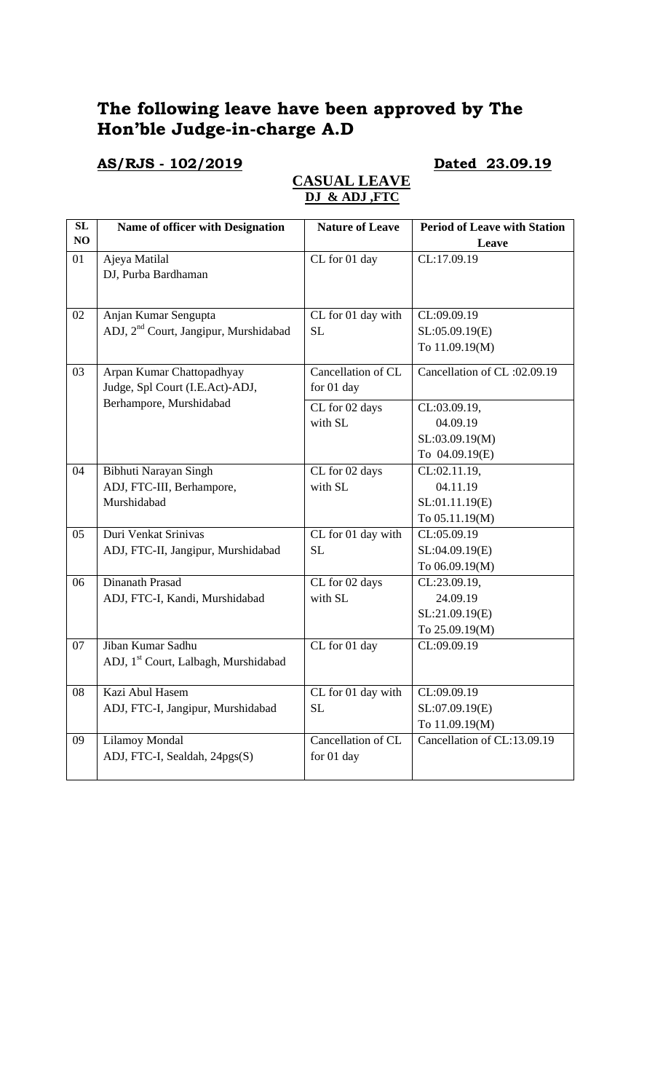# **The following leave have been approved by The Hon'ble Judge-in-charge A.D**

# **AS/RJS - 102/2019 Dated 23.09.19**

## **CASUAL LEAVE DJ & ADJ ,FTC**

| SL | Name of officer with Designation                  | <b>Nature of Leave</b> | <b>Period of Leave with Station</b> |
|----|---------------------------------------------------|------------------------|-------------------------------------|
| NO |                                                   |                        | Leave                               |
| 01 | Ajeya Matilal                                     | CL for 01 day          | CL:17.09.19                         |
|    | DJ, Purba Bardhaman                               |                        |                                     |
|    |                                                   |                        |                                     |
| 02 | Anjan Kumar Sengupta                              | CL for 01 day with     | CL:09.09.19                         |
|    | ADJ, 2 <sup>nd</sup> Court, Jangipur, Murshidabad | <b>SL</b>              | SL:05.09.19(E)                      |
|    |                                                   |                        | To 11.09.19(M)                      |
| 03 | Arpan Kumar Chattopadhyay                         | Cancellation of CL     | Cancellation of CL:02.09.19         |
|    | Judge, Spl Court (I.E.Act)-ADJ,                   | for 01 day             |                                     |
|    | Berhampore, Murshidabad                           | CL for 02 days         | CL:03.09.19,                        |
|    |                                                   | with SL                | 04.09.19                            |
|    |                                                   |                        | SL:03.09.19(M)                      |
|    |                                                   |                        | To 04.09.19(E)                      |
| 04 | Bibhuti Narayan Singh                             | CL for 02 days         | CL:02.11.19,                        |
|    | ADJ, FTC-III, Berhampore,                         | with SL                | 04.11.19                            |
|    | Murshidabad                                       |                        | SL:01.11.19(E)                      |
|    |                                                   |                        | To 05.11.19(M)                      |
| 05 | Duri Venkat Srinivas                              | CL for 01 day with     | CL:05.09.19                         |
|    | ADJ, FTC-II, Jangipur, Murshidabad                | <b>SL</b>              | SL:04.09.19(E)                      |
|    |                                                   |                        | To 06.09.19(M)                      |
| 06 | Dinanath Prasad                                   | CL for 02 days         | CL:23.09.19,                        |
|    | ADJ, FTC-I, Kandi, Murshidabad                    | with SL                | 24.09.19                            |
|    |                                                   |                        | SL:21.09.19(E)                      |
|    |                                                   |                        | To 25.09.19(M)                      |
| 07 | Jiban Kumar Sadhu                                 | CL for 01 day          | CL:09.09.19                         |
|    | ADJ, 1 <sup>st</sup> Court, Lalbagh, Murshidabad  |                        |                                     |
| 08 | Kazi Abul Hasem                                   | CL for 01 day with     | CL:09.09.19                         |
|    | ADJ, FTC-I, Jangipur, Murshidabad                 | <b>SL</b>              | SL:07.09.19(E)                      |
|    |                                                   |                        | To 11.09.19(M)                      |
| 09 | Lilamoy Mondal                                    | Cancellation of CL     | Cancellation of CL:13.09.19         |
|    | ADJ, FTC-I, Sealdah, 24pgs(S)                     | for 01 day             |                                     |
|    |                                                   |                        |                                     |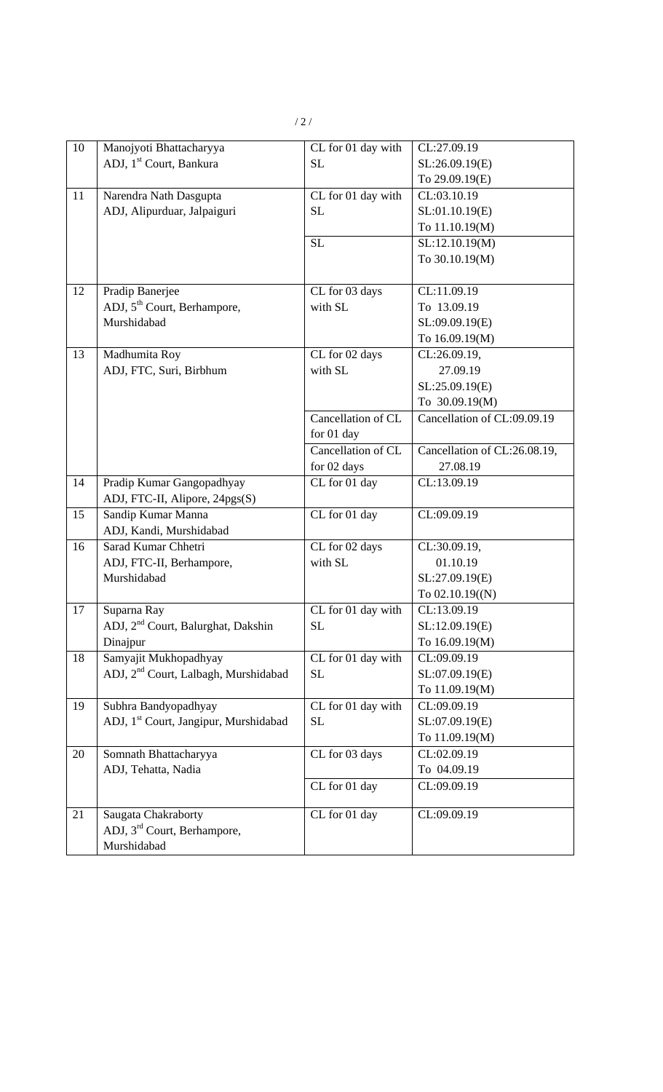| 10 | Manojyoti Bhattacharyya                           | CL for 01 day with | CL:27.09.19                  |
|----|---------------------------------------------------|--------------------|------------------------------|
|    | ADJ, 1 <sup>st</sup> Court, Bankura               | <b>SL</b>          | SL:26.09.19(E)               |
|    |                                                   |                    | To 29.09.19(E)               |
| 11 | Narendra Nath Dasgupta                            | CL for 01 day with | CL:03.10.19                  |
|    | ADJ, Alipurduar, Jalpaiguri                       | <b>SL</b>          | SL:01.10.19(E)               |
|    |                                                   |                    | To 11.10.19(M)               |
|    |                                                   | <b>SL</b>          | SL:12.10.19(M)               |
|    |                                                   |                    | To 30.10.19(M)               |
|    |                                                   |                    |                              |
| 12 | Pradip Banerjee                                   | CL for 03 days     | CL:11.09.19                  |
|    | ADJ, 5 <sup>th</sup> Court, Berhampore,           | with SL            | To 13.09.19                  |
|    | Murshidabad                                       |                    | SL:09.09.19(E)               |
|    |                                                   |                    | To 16.09.19(M)               |
| 13 | Madhumita Roy                                     | CL for 02 days     | CL:26.09.19,                 |
|    | ADJ, FTC, Suri, Birbhum                           | with SL            | 27.09.19                     |
|    |                                                   |                    | SL:25.09.19(E)               |
|    |                                                   |                    | To 30.09.19(M)               |
|    |                                                   | Cancellation of CL | Cancellation of CL:09.09.19  |
|    |                                                   | for 01 day         |                              |
|    |                                                   | Cancellation of CL | Cancellation of CL:26.08.19, |
|    |                                                   | for 02 days        | 27.08.19                     |
| 14 | Pradip Kumar Gangopadhyay                         | CL for 01 day      | CL:13.09.19                  |
|    | ADJ, FTC-II, Alipore, 24pgs(S)                    |                    |                              |
| 15 | Sandip Kumar Manna                                | CL for 01 day      | CL:09.09.19                  |
|    | ADJ, Kandi, Murshidabad                           |                    |                              |
| 16 | Sarad Kumar Chhetri                               | CL for 02 days     | CL:30.09.19,                 |
|    | ADJ, FTC-II, Berhampore,                          | with SL            | 01.10.19                     |
|    | Murshidabad                                       |                    | SL:27.09.19(E)               |
|    |                                                   |                    | To $02.10.19(N)$             |
| 17 | Suparna Ray                                       | CL for 01 day with | CL:13.09.19                  |
|    | ADJ, 2 <sup>nd</sup> Court, Balurghat, Dakshin    | SL                 | SL:12.09.19(E)               |
|    | Dinajpur                                          |                    | To 16.09.19(M)               |
| 18 | Samyajit Mukhopadhyay                             | CL for 01 day with | CL:09.09.19                  |
|    | ADJ, 2 <sup>nd</sup> Court, Lalbagh, Murshidabad  | SL                 | SL:07.09.19(E)               |
|    |                                                   |                    | To 11.09.19(M)               |
| 19 | Subhra Bandyopadhyay                              | CL for 01 day with | CL:09.09.19                  |
|    | ADJ, 1 <sup>st</sup> Court, Jangipur, Murshidabad | SL                 | SL:07.09.19(E)               |
|    |                                                   |                    | To 11.09.19(M)               |
| 20 | Somnath Bhattacharyya                             | CL for 03 days     | CL:02.09.19                  |
|    | ADJ, Tehatta, Nadia                               |                    | To 04.09.19                  |
|    |                                                   | CL for 01 day      | CL:09.09.19                  |
| 21 | Saugata Chakraborty                               | CL for 01 day      | CL:09.09.19                  |
|    | ADJ, 3 <sup>rd</sup> Court, Berhampore,           |                    |                              |
|    | Murshidabad                                       |                    |                              |
|    |                                                   |                    |                              |

/ 2 /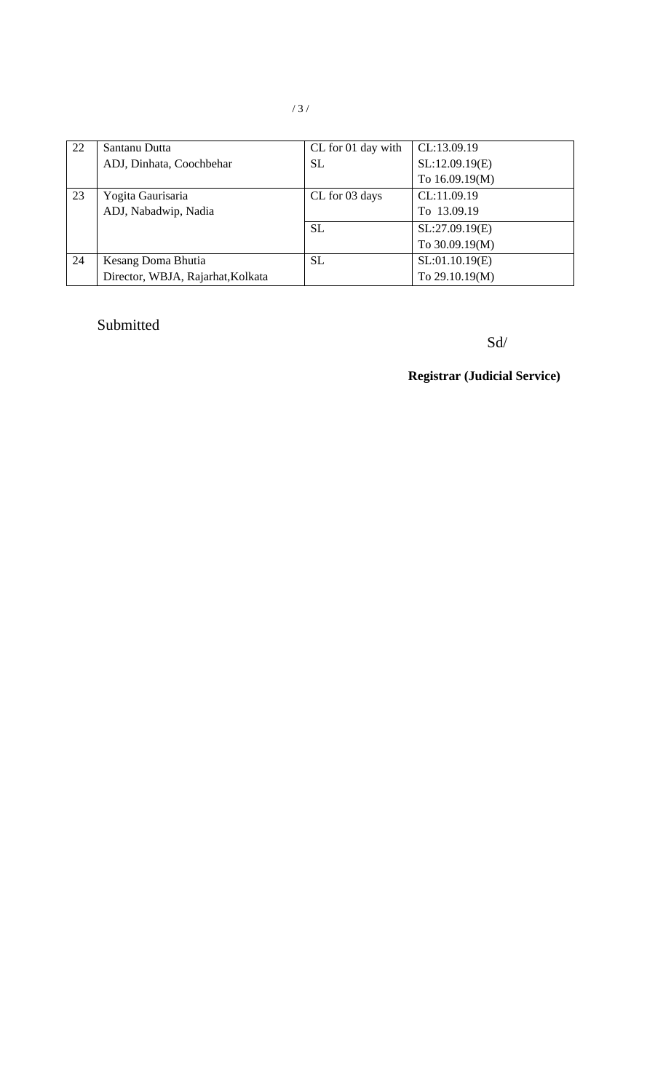| 22 | Santanu Dutta                     | CL for 01 day with | CL:13.09.19    |
|----|-----------------------------------|--------------------|----------------|
|    | ADJ, Dinhata, Coochbehar          | <b>SL</b>          | SL:12.09.19(E) |
|    |                                   |                    | To 16.09.19(M) |
| 23 | Yogita Gaurisaria                 | CL for 03 days     | CL:11.09.19    |
|    | ADJ, Nabadwip, Nadia              |                    | To 13.09.19    |
|    |                                   | <b>SL</b>          | SL:27.09.19(E) |
|    |                                   |                    | To 30.09.19(M) |
| 24 | Kesang Doma Bhutia                | <b>SL</b>          | SL:01.10.19(E) |
|    | Director, WBJA, Rajarhat, Kolkata |                    | To 29.10.19(M) |

# Submitted

Sd/

**Registrar (Judicial Service)**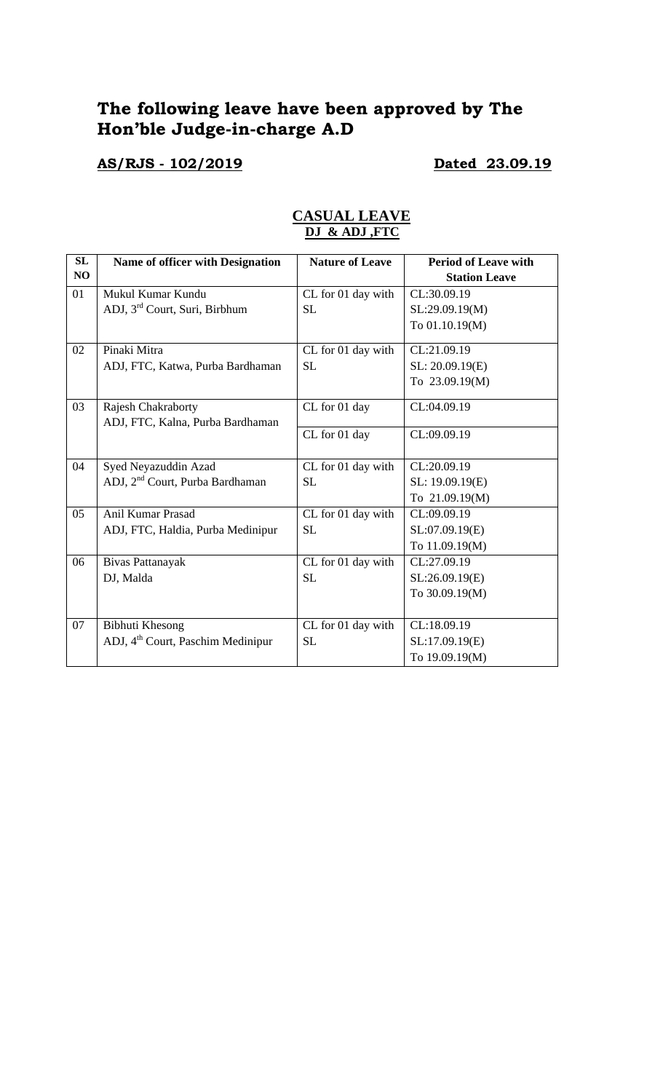# **The following leave have been approved by The Hon'ble Judge-in-charge A.D**

## **AS/RJS - 102/2019 Dated 23.09.19**

| SL | Name of officer with Designation              | <b>Nature of Leave</b> | <b>Period of Leave with</b> |
|----|-----------------------------------------------|------------------------|-----------------------------|
| NO |                                               |                        | <b>Station Leave</b>        |
| 01 | Mukul Kumar Kundu                             | CL for 01 day with     | CL:30.09.19                 |
|    | ADJ, 3 <sup>rd</sup> Court, Suri, Birbhum     | <b>SL</b>              | SL:29.09.19(M)              |
|    |                                               |                        | To 01.10.19(M)              |
| 02 | Pinaki Mitra                                  | CL for 01 day with     | CL:21.09.19                 |
|    | ADJ, FTC, Katwa, Purba Bardhaman              | <b>SL</b>              | SL: 20.09.19(E)             |
|    |                                               |                        | To 23.09.19(M)              |
| 03 | Rajesh Chakraborty                            | CL for 01 day          | CL:04.09.19                 |
|    | ADJ, FTC, Kalna, Purba Bardhaman              |                        |                             |
|    |                                               | CL for 01 day          | CL:09.09.19                 |
| 04 | Syed Neyazuddin Azad                          | CL for 01 day with     | CL:20.09.19                 |
|    | ADJ, 2 <sup>nd</sup> Court, Purba Bardhaman   | <b>SL</b>              | SL: 19.09.19(E)             |
|    |                                               |                        | To 21.09.19(M)              |
| 05 | <b>Anil Kumar Prasad</b>                      | CL for 01 day with     | CL:09.09.19                 |
|    | ADJ, FTC, Haldia, Purba Medinipur             | <b>SL</b>              | SL:07.09.19(E)              |
|    |                                               |                        | To 11.09.19(M)              |
| 06 | Bivas Pattanayak                              | CL for 01 day with     | CL:27.09.19                 |
|    | DJ, Malda                                     | <b>SL</b>              | SL:26.09.19(E)              |
|    |                                               |                        | To 30.09.19(M)              |
|    |                                               |                        |                             |
| 07 | <b>Bibhuti Khesong</b>                        | CL for 01 day with     | CL:18.09.19                 |
|    | ADJ, 4 <sup>th</sup> Court, Paschim Medinipur | <b>SL</b>              | SL:17.09.19(E)              |
|    |                                               |                        | To 19.09.19(M)              |

## **CASUAL LEAVE DJ & ADJ ,FTC**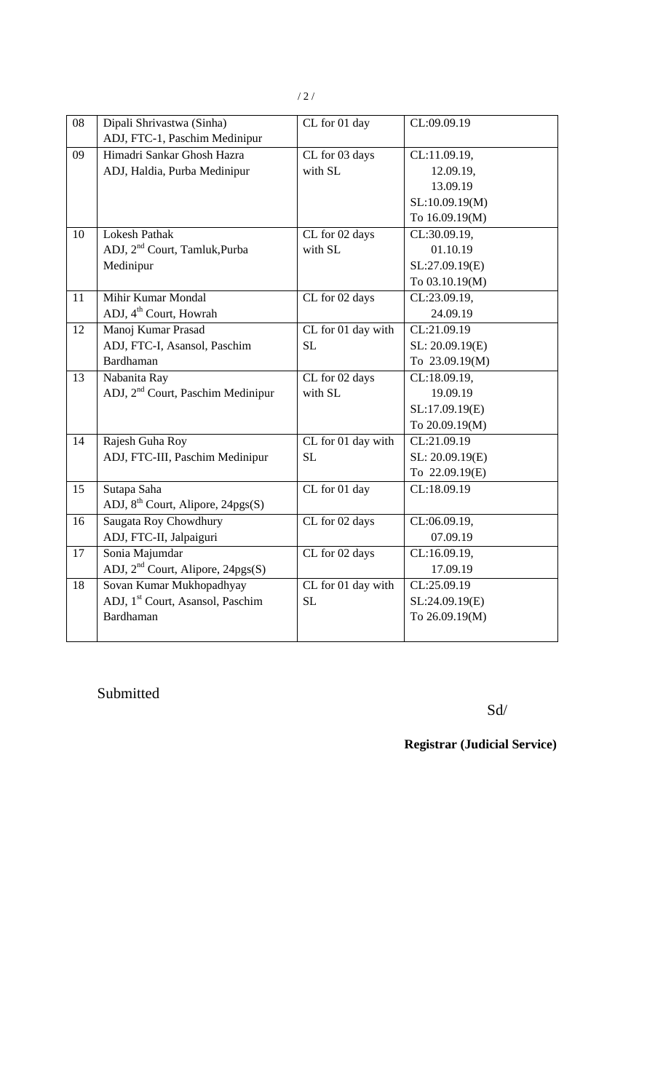| 08 | Dipali Shrivastwa (Sinha)                     | CL for 01 day      | CL:09.09.19     |
|----|-----------------------------------------------|--------------------|-----------------|
|    | ADJ, FTC-1, Paschim Medinipur                 |                    |                 |
| 09 | Himadri Sankar Ghosh Hazra                    | CL for 03 days     | CL:11.09.19,    |
|    | ADJ, Haldia, Purba Medinipur                  | with SL            | 12.09.19,       |
|    |                                               |                    | 13.09.19        |
|    |                                               |                    | SL:10.09.19(M)  |
|    |                                               |                    | To 16.09.19(M)  |
| 10 | <b>Lokesh Pathak</b>                          | CL for 02 days     | CL:30.09.19,    |
|    | ADJ, 2 <sup>nd</sup> Court, Tamluk, Purba     | with SL            | 01.10.19        |
|    | Medinipur                                     |                    | SL:27.09.19(E)  |
|    |                                               |                    | To 03.10.19(M)  |
| 11 | <b>Mihir Kumar Mondal</b>                     | CL for 02 days     | CL:23.09.19,    |
|    | ADJ, 4 <sup>th</sup> Court, Howrah            |                    | 24.09.19        |
| 12 | Manoj Kumar Prasad                            | CL for 01 day with | CL:21.09.19     |
|    | ADJ, FTC-I, Asansol, Paschim                  | <b>SL</b>          | SL: 20.09.19(E) |
|    | <b>Bardhaman</b>                              |                    | To 23.09.19(M)  |
| 13 | Nabanita Ray                                  | CL for 02 days     | CL:18.09.19,    |
|    | ADJ, 2 <sup>nd</sup> Court, Paschim Medinipur | with SL            | 19.09.19        |
|    |                                               |                    | SL:17.09.19(E)  |
|    |                                               |                    | To 20.09.19(M)  |
| 14 | Rajesh Guha Roy                               | CL for 01 day with | CL:21.09.19     |
|    | ADJ, FTC-III, Paschim Medinipur               | <b>SL</b>          | SL: 20.09.19(E) |
|    |                                               |                    | To 22.09.19(E)  |
| 15 | Sutapa Saha                                   | CL for 01 day      | CL:18.09.19     |
|    | ADJ, 8 <sup>th</sup> Court, Alipore, 24pgs(S) |                    |                 |
| 16 | Saugata Roy Chowdhury                         | CL for 02 days     | CL:06.09.19,    |
|    | ADJ, FTC-II, Jalpaiguri                       |                    | 07.09.19        |
| 17 | Sonia Majumdar                                | CL for 02 days     | CL:16.09.19,    |
|    | ADJ, $2nd$ Court, Alipore, $24pgs(S)$         |                    | 17.09.19        |
| 18 | Sovan Kumar Mukhopadhyay                      | CL for 01 day with | CL:25.09.19     |
|    | ADJ, 1 <sup>st</sup> Court, Asansol, Paschim  | <b>SL</b>          | SL:24.09.19(E)  |
|    | <b>Bardhaman</b>                              |                    | To 26.09.19(M)  |
|    |                                               |                    |                 |

Submitted

Sd/

**Registrar (Judicial Service)**